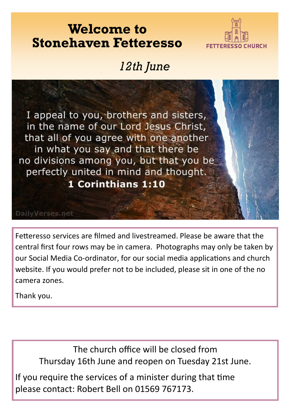### **Welcome to Stonehaven Fetteresso**



### *12th June*



Fetteresso services are filmed and livestreamed. Please be aware that the central first four rows may be in camera. Photographs may only be taken by our Social Media Co-ordinator, for our social media applications and church website. If you would prefer not to be included, please sit in one of the no camera zones.

Thank you.

The church office will be closed from Thursday 16th June and reopen on Tuesday 21st June.

please contact: Robert Bell on 01569 767173. If you require the services of a minister during that time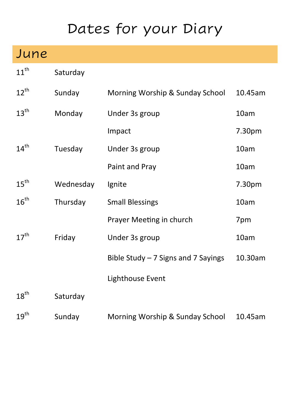# Dates for your Diary

## June

11<sup>th</sup> Saturday

| $12^{\text{th}}$ | Sunday    | Morning Worship & Sunday School     | 10.45am |
|------------------|-----------|-------------------------------------|---------|
| $13^{\text{th}}$ | Monday    | Under 3s group                      | 10am    |
|                  |           | Impact                              | 7.30pm  |
| $14^{\text{th}}$ | Tuesday   | Under 3s group                      | 10am    |
|                  |           | Paint and Pray                      | 10am    |
| $15^{\text{th}}$ | Wednesday | Ignite                              | 7.30pm  |
| $16^{\text{th}}$ | Thursday  | <b>Small Blessings</b>              | 10am    |
|                  |           | Prayer Meeting in church            | 7pm     |
| $17^{\text{th}}$ | Friday    | Under 3s group                      | 10am    |
|                  |           | Bible Study - 7 Signs and 7 Sayings | 10.30am |
|                  |           | Lighthouse Event                    |         |
| $18^{\text{th}}$ | Saturday  |                                     |         |
| $19^{th}$        | Sunday    | Morning Worship & Sunday School     | 10.45am |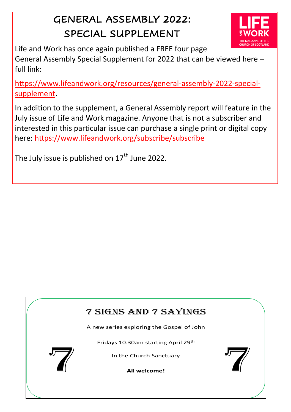### GENERAL ASSEMBLY 2022: SPECIAL SUPPLEMENT



Life and Work has once again published a FREE four page General Assembly Special Supplement for 2022 that can be [viewed here –](https://www.lifeandwork.org/resources/general-assembly-2022-special-supplement) full link:

[https://www.lifeandwork.org/resources/general](https://www.lifeandwork.org/resources/general-assembly-2022-special-supplement)-assembly-2022-special[supplement.](https://www.lifeandwork.org/resources/general-assembly-2022-special-supplement)

In addition to the supplement, a General Assembly report will feature in the July issue of Life and Work magazine. Anyone that is not a subscriber and interested in this particular issue can purchase a single print or digital copy [here:](http://www.lifeandwork.org/subscribe) https://www.lifeandwork.org/subscribe/subscribe

The July issue is published on  $17<sup>th</sup>$  June 2022.

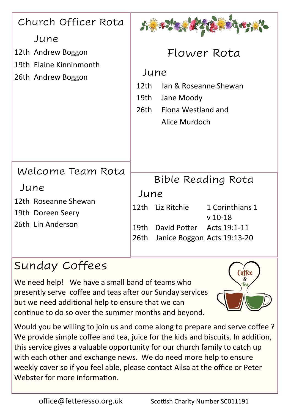| Church Officer Rota<br>June<br>12th Andrew Boggon<br>19th Elaine Kinninmonth<br>26th Andrew Boggon | Flower Rota<br>June<br>Jan & Roseanne Shewan<br>12th<br>19th<br>Jane Moody<br>Fiona Westland and<br>26th -<br>Alice Murdoch                             |  |
|----------------------------------------------------------------------------------------------------|---------------------------------------------------------------------------------------------------------------------------------------------------------|--|
| Welcome Team Rota<br>June<br>12th Roseanne Shewan<br>19th Doreen Seery<br>26th Lin Anderson        | Bible Reading Rota<br>June<br>12th Liz Ritchie<br>1 Corinthians 1<br>$v$ 10-18<br>19th David Potter Acts 19:1-11<br>26th<br>Janice Boggon Acts 19:13-20 |  |

### Sunday Coffees

We need help! We have a small band of teams who presently serve coffee and teas after our Sunday services but we need additional help to ensure that we can continue to do so over the summer months and beyond.



Would you be willing to join us and come along to prepare and serve coffee ? We provide simple coffee and tea, juice for the kids and biscuits. In addition, this service gives a valuable opportunity for our church family to catch up with each other and exchange news. We do need more help to ensure weekly cover so if you feel able, please contact Ailsa at the office or Peter Webster for more information.